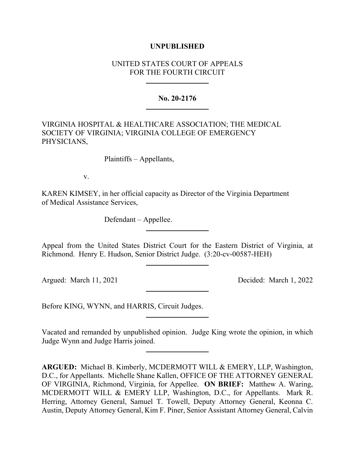## **UNPUBLISHED**

# UNITED STATES COURT OF APPEALS FOR THE FOURTH CIRCUIT

### **No. 20-2176**

VIRGINIA HOSPITAL & HEALTHCARE ASSOCIATION; THE MEDICAL SOCIETY OF VIRGINIA; VIRGINIA COLLEGE OF EMERGENCY PHYSICIANS,

Plaintiffs – Appellants,

v.

KAREN KIMSEY, in her official capacity as Director of the Virginia Department of Medical Assistance Services,

Defendant – Appellee.

Appeal from the United States District Court for the Eastern District of Virginia, at Richmond. Henry E. Hudson, Senior District Judge. (3:20-cv-00587-HEH)

Argued: March 11, 2021 Decided: March 1, 2022

Before KING, WYNN, and HARRIS, Circuit Judges.

Vacated and remanded by unpublished opinion. Judge King wrote the opinion, in which Judge Wynn and Judge Harris joined.

**ARGUED:** Michael B. Kimberly, MCDERMOTT WILL & EMERY, LLP, Washington, D.C., for Appellants. Michelle Shane Kallen, OFFICE OF THE ATTORNEY GENERAL OF VIRGINIA, Richmond, Virginia, for Appellee. **ON BRIEF:** Matthew A. Waring, MCDERMOTT WILL & EMERY LLP, Washington, D.C., for Appellants. Mark R. Herring, Attorney General, Samuel T. Towell, Deputy Attorney General, Keonna C. Austin, Deputy Attorney General, Kim F. Piner, Senior Assistant Attorney General, Calvin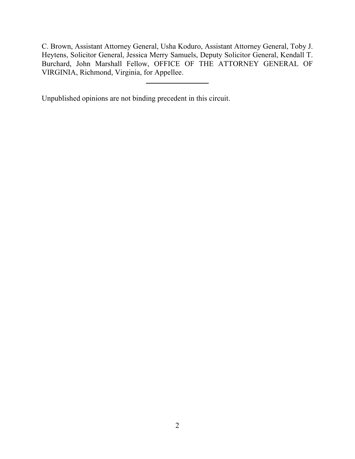C. Brown, Assistant Attorney General, Usha Koduro, Assistant Attorney General, Toby J. Heytens, Solicitor General, Jessica Merry Samuels, Deputy Solicitor General, Kendall T. Burchard, John Marshall Fellow, OFFICE OF THE ATTORNEY GENERAL OF VIRGINIA, Richmond, Virginia, for Appellee.

Unpublished opinions are not binding precedent in this circuit.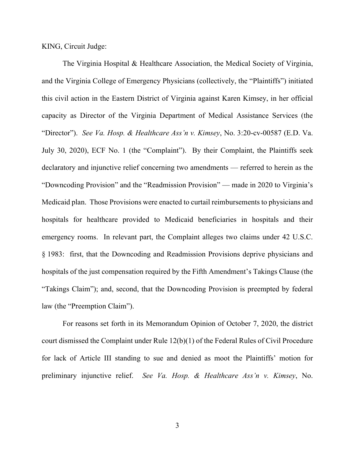KING, Circuit Judge:

The Virginia Hospital & Healthcare Association, the Medical Society of Virginia, and the Virginia College of Emergency Physicians (collectively, the "Plaintiffs") initiated this civil action in the Eastern District of Virginia against Karen Kimsey, in her official capacity as Director of the Virginia Department of Medical Assistance Services (the "Director"). *See Va. Hosp. & Healthcare Ass'n v. Kimsey*, No. 3:20-cv-00587 (E.D. Va. July 30, 2020), ECF No. 1 (the "Complaint"). By their Complaint, the Plaintiffs seek declaratory and injunctive relief concerning two amendments — referred to herein as the "Downcoding Provision" and the "Readmission Provision" — made in 2020 to Virginia's Medicaid plan. Those Provisions were enacted to curtail reimbursements to physicians and hospitals for healthcare provided to Medicaid beneficiaries in hospitals and their emergency rooms. In relevant part, the Complaint alleges two claims under 42 U.S.C. § 1983: first, that the Downcoding and Readmission Provisions deprive physicians and hospitals of the just compensation required by the Fifth Amendment's Takings Clause (the "Takings Claim"); and, second, that the Downcoding Provision is preempted by federal law (the "Preemption Claim").

For reasons set forth in its Memorandum Opinion of October 7, 2020, the district court dismissed the Complaint under Rule 12(b)(1) of the Federal Rules of Civil Procedure for lack of Article III standing to sue and denied as moot the Plaintiffs' motion for preliminary injunctive relief. *See Va. Hosp. & Healthcare Ass'n v. Kimsey*, No.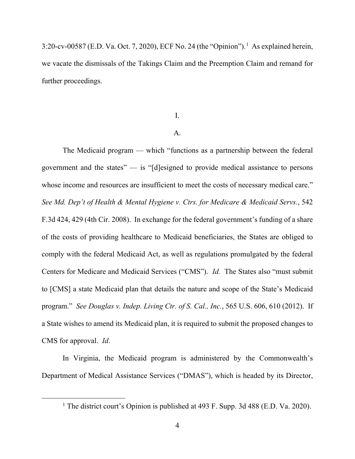3:20-cv-00587 (E.D. Va. Oct. 7, 2020), ECF No. 24 (the "Opinion").<sup>[1](#page-3-0)</sup> As explained herein, we vacate the dismissals of the Takings Claim and the Preemption Claim and remand for further proceedings.

I.

## A.

The Medicaid program — which "functions as a partnership between the federal government and the states"  $\frac{1}{10}$  is "[d]esigned to provide medical assistance to persons whose income and resources are insufficient to meet the costs of necessary medical care." *See Md. Dep't of Health & Mental Hygiene v. Ctrs. for Medicare & Medicaid Servs.*, 542 F.3d 424, 429 (4th Cir. 2008). In exchange for the federal government's funding of a share of the costs of providing healthcare to Medicaid beneficiaries, the States are obliged to comply with the federal Medicaid Act, as well as regulations promulgated by the federal Centers for Medicare and Medicaid Services ("CMS"). *Id.* The States also "must submit to [CMS] a state Medicaid plan that details the nature and scope of the State's Medicaid program." *See Douglas v. Indep. Living Ctr. of S. Cal., Inc.*, 565 U.S. 606, 610 (2012). If a State wishes to amend its Medicaid plan, it is required to submit the proposed changes to CMS for approval. *Id*.

In Virginia, the Medicaid program is administered by the Commonwealth's Department of Medical Assistance Services ("DMAS"), which is headed by its Director,

<span id="page-3-0"></span><sup>&</sup>lt;sup>1</sup> The district court's Opinion is published at 493 F. Supp. 3d 488 (E.D. Va. 2020).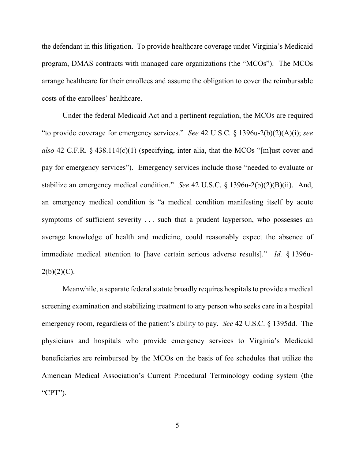the defendant in this litigation. To provide healthcare coverage under Virginia's Medicaid program, DMAS contracts with managed care organizations (the "MCOs"). The MCOs arrange healthcare for their enrollees and assume the obligation to cover the reimbursable costs of the enrollees' healthcare.

Under the federal Medicaid Act and a pertinent regulation, the MCOs are required "to provide coverage for emergency services." *See* 42 U.S.C. § 1396u-2(b)(2)(A)(i); *see also* 42 C.F.R. § 438.114(c)(1) (specifying, inter alia, that the MCOs "[m]ust cover and pay for emergency services"). Emergency services include those "needed to evaluate or stabilize an emergency medical condition." *See* 42 U.S.C. § 1396u-2(b)(2)(B)(ii). And, an emergency medical condition is "a medical condition manifesting itself by acute symptoms of sufficient severity ... such that a prudent layperson, who possesses an average knowledge of health and medicine, could reasonably expect the absence of immediate medical attention to [have certain serious adverse results]." *Id.* § 1396u- $2(b)(2)(C)$ .

Meanwhile, a separate federal statute broadly requires hospitals to provide a medical screening examination and stabilizing treatment to any person who seeks care in a hospital emergency room, regardless of the patient's ability to pay. *See* 42 U.S.C. § 1395dd. The physicians and hospitals who provide emergency services to Virginia's Medicaid beneficiaries are reimbursed by the MCOs on the basis of fee schedules that utilize the American Medical Association's Current Procedural Terminology coding system (the "CPT").

5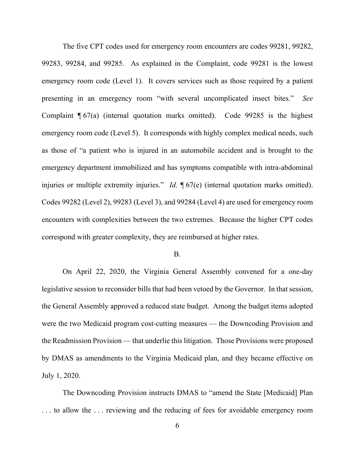The five CPT codes used for emergency room encounters are codes 99281, 99282, 99283, 99284, and 99285. As explained in the Complaint, code 99281 is the lowest emergency room code (Level 1). It covers services such as those required by a patient presenting in an emergency room "with several uncomplicated insect bites." *See*  Complaint ¶ 67(a) (internal quotation marks omitted). Code 99285 is the highest emergency room code (Level 5). It corresponds with highly complex medical needs, such as those of "a patient who is injured in an automobile accident and is brought to the emergency department immobilized and has symptoms compatible with intra-abdominal injuries or multiple extremity injuries." *Id.* ¶ 67(e) (internal quotation marks omitted). Codes 99282 (Level 2), 99283 (Level 3), and 99284 (Level 4) are used for emergency room encounters with complexities between the two extremes. Because the higher CPT codes correspond with greater complexity, they are reimbursed at higher rates.

### B.

On April 22, 2020, the Virginia General Assembly convened for a one-day legislative session to reconsider bills that had been vetoed by the Governor. In that session, the General Assembly approved a reduced state budget. Among the budget items adopted were the two Medicaid program cost-cutting measures — the Downcoding Provision and the Readmission Provision — that underlie this litigation. Those Provisions were proposed by DMAS as amendments to the Virginia Medicaid plan, and they became effective on July 1, 2020.

The Downcoding Provision instructs DMAS to "amend the State [Medicaid] Plan . . . to allow the . . . reviewing and the reducing of fees for avoidable emergency room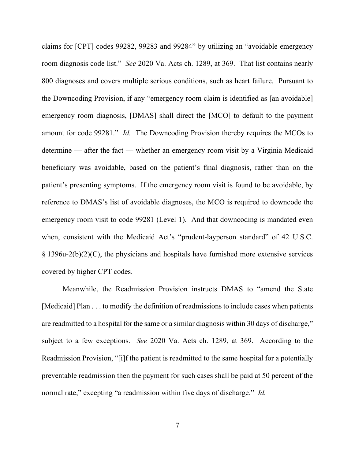claims for [CPT] codes 99282, 99283 and 99284" by utilizing an "avoidable emergency room diagnosis code list." *See* 2020 Va. Acts ch. 1289, at 369. That list contains nearly 800 diagnoses and covers multiple serious conditions, such as heart failure. Pursuant to the Downcoding Provision, if any "emergency room claim is identified as [an avoidable] emergency room diagnosis, [DMAS] shall direct the [MCO] to default to the payment amount for code 99281." *Id.* The Downcoding Provision thereby requires the MCOs to determine — after the fact — whether an emergency room visit by a Virginia Medicaid beneficiary was avoidable, based on the patient's final diagnosis, rather than on the patient's presenting symptoms. If the emergency room visit is found to be avoidable, by reference to DMAS's list of avoidable diagnoses, the MCO is required to downcode the emergency room visit to code 99281 (Level 1). And that downcoding is mandated even when, consistent with the Medicaid Act's "prudent-layperson standard" of 42 U.S.C. § 1396u-2(b)(2)(C), the physicians and hospitals have furnished more extensive services covered by higher CPT codes.

Meanwhile, the Readmission Provision instructs DMAS to "amend the State [Medicaid] Plan . . . to modify the definition of readmissions to include cases when patients are readmitted to a hospital for the same or a similar diagnosis within 30 days of discharge," subject to a few exceptions. *See* 2020 Va. Acts ch. 1289, at 369. According to the Readmission Provision, "[i]f the patient is readmitted to the same hospital for a potentially preventable readmission then the payment for such cases shall be paid at 50 percent of the normal rate," excepting "a readmission within five days of discharge." *Id.*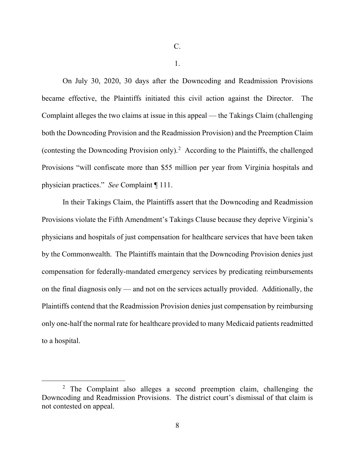C.

1.

On July 30, 2020, 30 days after the Downcoding and Readmission Provisions became effective, the Plaintiffs initiated this civil action against the Director. The Complaint alleges the two claims at issue in this appeal — the Takings Claim (challenging both the Downcoding Provision and the Readmission Provision) and the Preemption Claim (contesting the Downcoding Provision only). [2](#page-7-0) According to the Plaintiffs, the challenged Provisions "will confiscate more than \$55 million per year from Virginia hospitals and physician practices." *See* Complaint ¶ 111.

In their Takings Claim, the Plaintiffs assert that the Downcoding and Readmission Provisions violate the Fifth Amendment's Takings Clause because they deprive Virginia's physicians and hospitals of just compensation for healthcare services that have been taken by the Commonwealth. The Plaintiffs maintain that the Downcoding Provision denies just compensation for federally-mandated emergency services by predicating reimbursements on the final diagnosis only — and not on the services actually provided. Additionally, the Plaintiffs contend that the Readmission Provision denies just compensation by reimbursing only one-half the normal rate for healthcare provided to many Medicaid patients readmitted to a hospital.

<span id="page-7-0"></span><sup>&</sup>lt;sup>2</sup> The Complaint also alleges a second preemption claim, challenging the Downcoding and Readmission Provisions. The district court's dismissal of that claim is not contested on appeal.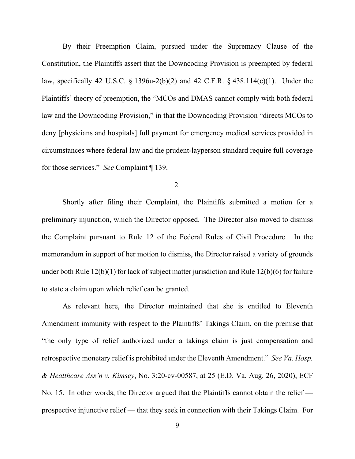By their Preemption Claim, pursued under the Supremacy Clause of the Constitution, the Plaintiffs assert that the Downcoding Provision is preempted by federal law, specifically 42 U.S.C. § 1396u-2(b)(2) and 42 C.F.R. § 438.114(c)(1). Under the Plaintiffs' theory of preemption, the "MCOs and DMAS cannot comply with both federal law and the Downcoding Provision," in that the Downcoding Provision "directs MCOs to deny [physicians and hospitals] full payment for emergency medical services provided in circumstances where federal law and the prudent-layperson standard require full coverage for those services." *See* Complaint ¶ 139.

2.

Shortly after filing their Complaint, the Plaintiffs submitted a motion for a preliminary injunction, which the Director opposed. The Director also moved to dismiss the Complaint pursuant to Rule 12 of the Federal Rules of Civil Procedure. In the memorandum in support of her motion to dismiss, the Director raised a variety of grounds under both Rule 12(b)(1) for lack of subject matter jurisdiction and Rule 12(b)(6) for failure to state a claim upon which relief can be granted.

As relevant here, the Director maintained that she is entitled to Eleventh Amendment immunity with respect to the Plaintiffs' Takings Claim, on the premise that "the only type of relief authorized under a takings claim is just compensation and retrospective monetary relief is prohibited under the Eleventh Amendment." *See Va. Hosp. & Healthcare Ass'n v. Kimsey*, No. 3:20-cv-00587, at 25 (E.D. Va. Aug. 26, 2020), ECF No. 15. In other words, the Director argued that the Plaintiffs cannot obtain the relief prospective injunctive relief — that they seek in connection with their Takings Claim. For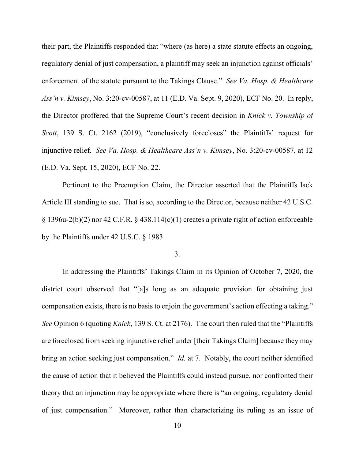their part, the Plaintiffs responded that "where (as here) a state statute effects an ongoing, regulatory denial of just compensation, a plaintiff may seek an injunction against officials' enforcement of the statute pursuant to the Takings Clause." *See Va. Hosp. & Healthcare Ass'n v. Kimsey*, No. 3:20-cv-00587, at 11 (E.D. Va. Sept. 9, 2020), ECF No. 20. In reply, the Director proffered that the Supreme Court's recent decision in *Knick v. Township of Scott*, 139 S. Ct. 2162 (2019), "conclusively forecloses" the Plaintiffs' request for injunctive relief. *See Va. Hosp. & Healthcare Ass'n v. Kimsey*, No. 3:20-cv-00587, at 12 (E.D. Va. Sept. 15, 2020), ECF No. 22.

Pertinent to the Preemption Claim, the Director asserted that the Plaintiffs lack Article III standing to sue. That is so, according to the Director, because neither 42 U.S.C. § 1396u-2(b)(2) nor 42 C.F.R. § 438.114(c)(1) creates a private right of action enforceable by the Plaintiffs under 42 U.S.C. § 1983.

### 3.

In addressing the Plaintiffs' Takings Claim in its Opinion of October 7, 2020, the district court observed that "[a]s long as an adequate provision for obtaining just compensation exists, there is no basis to enjoin the government's action effecting a taking." *See* Opinion 6 (quoting *Knick*, 139 S. Ct. at 2176). The court then ruled that the "Plaintiffs are foreclosed from seeking injunctive relief under [their Takings Claim] because they may bring an action seeking just compensation." *Id.* at 7. Notably, the court neither identified the cause of action that it believed the Plaintiffs could instead pursue, nor confronted their theory that an injunction may be appropriate where there is "an ongoing, regulatory denial of just compensation." Moreover, rather than characterizing its ruling as an issue of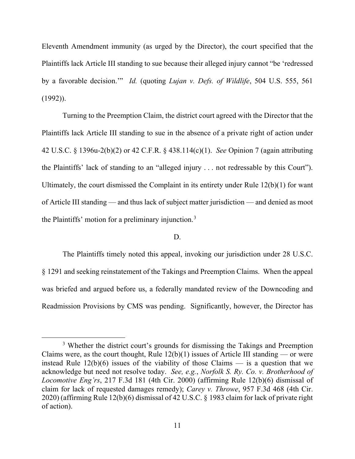Eleventh Amendment immunity (as urged by the Director), the court specified that the Plaintiffs lack Article III standing to sue because their alleged injury cannot "be 'redressed by a favorable decision.'" *Id.* (quoting *Lujan v. Defs. of Wildlife*, 504 U.S. 555, 561  $(1992)$ ).

Turning to the Preemption Claim, the district court agreed with the Director that the Plaintiffs lack Article III standing to sue in the absence of a private right of action under 42 U.S.C. § 1396u-2(b)(2) or 42 C.F.R. § 438.114(c)(1). *See* Opinion 7 (again attributing the Plaintiffs' lack of standing to an "alleged injury . . . not redressable by this Court"). Ultimately, the court dismissed the Complaint in its entirety under Rule 12(b)(1) for want of Article III standing — and thus lack of subject matter jurisdiction — and denied as moot the Plaintiffs' motion for a preliminary injunction.<sup>[3](#page-10-0)</sup>

# D.

The Plaintiffs timely noted this appeal, invoking our jurisdiction under 28 U.S.C. § 1291 and seeking reinstatement of the Takings and Preemption Claims. When the appeal was briefed and argued before us, a federally mandated review of the Downcoding and Readmission Provisions by CMS was pending. Significantly, however, the Director has

<span id="page-10-0"></span><sup>&</sup>lt;sup>3</sup> Whether the district court's grounds for dismissing the Takings and Preemption Claims were, as the court thought, Rule  $12(b)(1)$  issues of Article III standing — or were instead Rule  $12(b)(6)$  issues of the viability of those Claims — is a question that we acknowledge but need not resolve today. *See, e.g.*, *Norfolk S. Ry. Co. v. Brotherhood of Locomotive Eng'rs*, 217 F.3d 181 (4th Cir. 2000) (affirming Rule 12(b)(6) dismissal of claim for lack of requested damages remedy); *Carey v. Throwe*, 957 F.3d 468 (4th Cir. 2020) (affirming Rule 12(b)(6) dismissal of 42 U.S.C. § 1983 claim for lack of private right of action).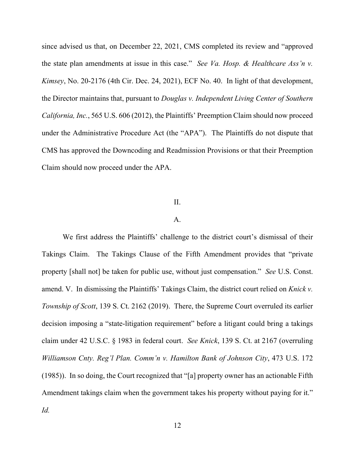since advised us that, on December 22, 2021, CMS completed its review and "approved the state plan amendments at issue in this case." *See Va. Hosp. & Healthcare Ass'n v. Kimsey*, No. 20-2176 (4th Cir. Dec. 24, 2021), ECF No. 40. In light of that development, the Director maintains that, pursuant to *Douglas v. Independent Living Center of Southern California, Inc.*, 565 U.S. 606 (2012), the Plaintiffs' Preemption Claim should now proceed under the Administrative Procedure Act (the "APA"). The Plaintiffs do not dispute that CMS has approved the Downcoding and Readmission Provisions or that their Preemption Claim should now proceed under the APA.

### II.

### A.

We first address the Plaintiffs' challenge to the district court's dismissal of their Takings Claim. The Takings Clause of the Fifth Amendment provides that "private property [shall not] be taken for public use, without just compensation." *See* U.S. Const. amend. V. In dismissing the Plaintiffs' Takings Claim, the district court relied on *Knick v. Township of Scott*, 139 S. Ct. 2162 (2019). There, the Supreme Court overruled its earlier decision imposing a "state-litigation requirement" before a litigant could bring a takings claim under 42 U.S.C. § 1983 in federal court. *See Knick*, 139 S. Ct. at 2167 (overruling *Williamson Cnty. Reg'l Plan. Comm'n v. Hamilton Bank of Johnson City*, 473 U.S. 172 (1985)). In so doing, the Court recognized that "[a] property owner has an actionable Fifth Amendment takings claim when the government takes his property without paying for it." *Id.*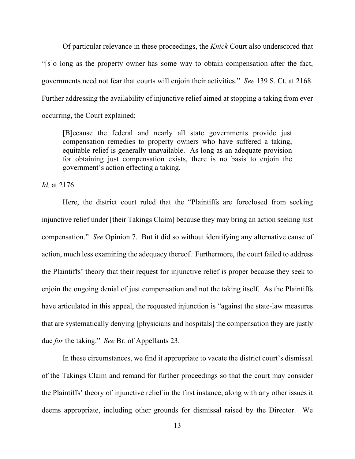Of particular relevance in these proceedings, the *Knick* Court also underscored that "[s]o long as the property owner has some way to obtain compensation after the fact, governments need not fear that courts will enjoin their activities." *See* 139 S. Ct. at 2168. Further addressing the availability of injunctive relief aimed at stopping a taking from ever occurring, the Court explained:

[B]ecause the federal and nearly all state governments provide just compensation remedies to property owners who have suffered a taking, equitable relief is generally unavailable. As long as an adequate provision for obtaining just compensation exists, there is no basis to enjoin the government's action effecting a taking.

*Id.* at 2176.

Here, the district court ruled that the "Plaintiffs are foreclosed from seeking injunctive relief under [their Takings Claim] because they may bring an action seeking just compensation." *See* Opinion 7. But it did so without identifying any alternative cause of action, much less examining the adequacy thereof. Furthermore, the court failed to address the Plaintiffs' theory that their request for injunctive relief is proper because they seek to enjoin the ongoing denial of just compensation and not the taking itself. As the Plaintiffs have articulated in this appeal, the requested injunction is "against the state-law measures that are systematically denying [physicians and hospitals] the compensation they are justly due *for* the taking." *See* Br. of Appellants 23.

In these circumstances, we find it appropriate to vacate the district court's dismissal of the Takings Claim and remand for further proceedings so that the court may consider the Plaintiffs' theory of injunctive relief in the first instance, along with any other issues it deems appropriate, including other grounds for dismissal raised by the Director. We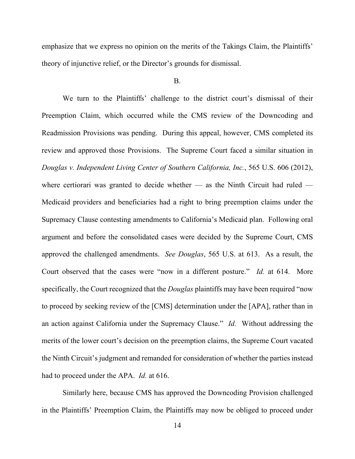emphasize that we express no opinion on the merits of the Takings Claim, the Plaintiffs' theory of injunctive relief, or the Director's grounds for dismissal.

#### B.

We turn to the Plaintiffs' challenge to the district court's dismissal of their Preemption Claim, which occurred while the CMS review of the Downcoding and Readmission Provisions was pending. During this appeal, however, CMS completed its review and approved those Provisions. The Supreme Court faced a similar situation in *Douglas v. Independent Living Center of Southern California, Inc.*, 565 U.S. 606 (2012), where certiorari was granted to decide whether  $-$  as the Ninth Circuit had ruled  $-$ Medicaid providers and beneficiaries had a right to bring preemption claims under the Supremacy Clause contesting amendments to California's Medicaid plan. Following oral argument and before the consolidated cases were decided by the Supreme Court, CMS approved the challenged amendments. *See Douglas*, 565 U.S. at 613. As a result, the Court observed that the cases were "now in a different posture." *Id.* at 614. More specifically, the Court recognized that the *Douglas* plaintiffs may have been required "now to proceed by seeking review of the [CMS] determination under the [APA], rather than in an action against California under the Supremacy Clause." *Id.* Without addressing the merits of the lower court's decision on the preemption claims, the Supreme Court vacated the Ninth Circuit's judgment and remanded for consideration of whether the parties instead had to proceed under the APA. *Id.* at 616.

Similarly here, because CMS has approved the Downcoding Provision challenged in the Plaintiffs' Preemption Claim, the Plaintiffs may now be obliged to proceed under